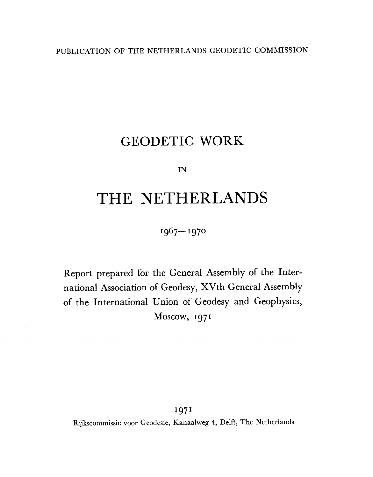## PUBLICATION OF THE NETHERLANDS GEODETIC COMMISSION

# GEODETIC WORK

IN

# THE NETHERLANDS

1967-1970

Report prepared for the General Assembly of the International Association of Geodesy, XVth General Assembly of the International Union of Geodesy and Geophysics, Moscow, 1971

1971 Rijkscommissie voor Geodesie, Kanaalweg 4, Delft, The Netherlands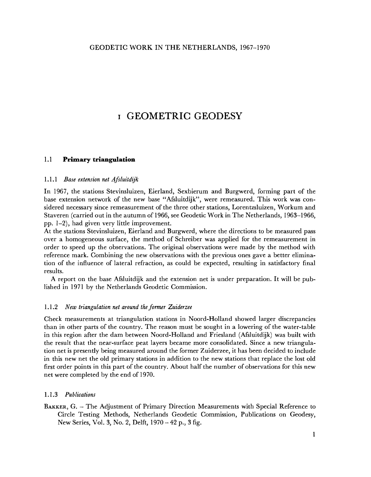## I GEOMETRIC GEODESY

#### 1.1 **Primary triangulation**

#### 1.1.1 *Base extension net Afsluitdijk*

In 1967, the stations Stevinsluizen, Eierland, Sexbierum and Burgwerd, forming part of the base extension network of the new base "Afsluitdijk", were remeasured. This work was considered necessary since remeasurement of the three other stations, Lorentzsluizen, Workum and Staveren (carried out in the autumn of 1966, see Geodetic Work in The Netherlands, 1963-1966, pp. 1-2), had given very little improvement.

At the stations Stevinsluizen, Eierland and Burgwerd, where the directions to be measured pass over a homogeneous surface, the method of Schreiber was applied for the remeasurement in order to speed up the observations. The original observations were made by the method with reference mark. Combining the new observations with the previous ones gave a better elimination of the influence of lateral refraction, as could be expected, resulting in satisfactory final results.

A report on the base Afsluitdijk and the extension net is under preparation. It will be published in 1971 by the Netherlands Geodetic Commission.

#### 1.1.2 *New triangulation net around the former Zuiderzee*

Check measurements at triangulation stations in Noord-Holland showed larger discrepancies than in other parts of the country. The reason must be sought in a lowering of the water-table in this region after the dam between Noord-Holland and Friesland (Afsluitdijk) was built with the result that the near-surface peat layers became more consolidated. Since a new triangulation net is presently being measured around the former Zuiderzee, it has been decided to include in this new net the old primary stations in addition to the new stations that replace the lost old first order points in this part of the country. About half the number of observations for this new net were completed by the end of 1970.

#### 1.1.3 *Publications*

BAKKER, G. - The Adjustment of Primary Direction Measurements with Special Reference to Circle Testing Methods, Netherlands Geodetic Commission, Publications on Geodesy, New Series, Vol. 3, No. 2, Delft, 1970 - 42 p., 3 fig.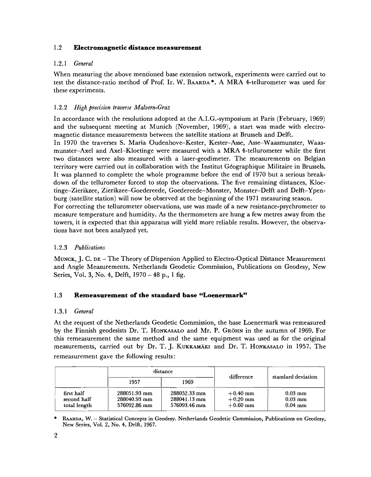## 1.2 **Electromagnetic distance measurement**

## 1.2.1 General

When measuring the above mentioned base extension network, experiments were carried out to test the distance-ratio method of Prof. Ir. W. BAARDA\*. A MRA 4-tellurometer was used for these experiments.

## 1.2.2 High precision traverse Malvern-Graz

In accordance with the resolutions adopted at the A.1.G.-symposium at Paris (February, 1969) and the subsequent meeting at Munich (November, 1969), a start was made with electromagnetic distance measurements between the satellite stations at Brussels and Delft.

In 1970 the traverses S. Maria Oudenhove-Kester, Kester-Asse, Asse-Waasmunster, Waasmunster-Axe1 and Axel-Kloetinge were measured with a MRA 4-tellurometer while the first two distances were also measured with a laser-geodimeter. The measurements on Belgian territory were carried out in collaboration with the Institut Géographique Militaire in Brussels. It was planned to complete the whole programme before the end of 1970 but a serious breakdown of the tellurometer forced to stop the observations. The five remaining distances, Kloetinge-Zierikzee, Zierikzee-Goedereede, Goedereede-Monster, Monster-Delft and Delft-Ypenburg (satellite station) will now be observed at the beginning of the 1971 measuring season. For correcting the tellurometer observations, use was made of a new resistance-psychrometer to measure temperature and humidity. As the thermometers are hung a few metres away from the towers, it is expected that this apparatus will yield more reliable results. However, the observations have not been analyzed yet.

## 1.2.3 Publications

MUNCK, J. C. DE - The Theory of Dispersion Applied to Electro-Optical Distance Measurement and Angle Measurements. Netherlands Geodetic Commission, Publications on Geodesy, New Series, Vol. 3, No. 4, Delft, 1970 - 48 p., 1 fig.

## 1.3 **Remeasurement of the standard base "Loenermark"**

## 1 .3.1 General

At the request of the Netherlands Geodetic Commission, the base Loenermark was remeasured by the Finnish geodesists Dr. T. HONKASALO and Mr. P. GRÖHN in the autumn of 1969. For this remeasurement the same method and the same equipment was used as for the original measurements, carried out by Dr. T. J. KUKKAMAKI and Dr. T. HONKASALO in 1957. The remeasurement gave the following results

|                                           | distance                                     |                                              | difference                             | standard deviation                          |
|-------------------------------------------|----------------------------------------------|----------------------------------------------|----------------------------------------|---------------------------------------------|
|                                           | 1957                                         | 1969                                         |                                        |                                             |
| first half<br>second half<br>total length | 288051.93 mm<br>288040.93 mm<br>576092.86 mm | 288052.33 mm<br>288041.13 mm<br>576093.46 mm | $+0.40$ mm<br>$+0.20$ mm<br>$+0.60$ mm | $0.03 \text{ mm}$<br>$0.03$ mm<br>$0.04$ mm |

\* **BAARDA,** W. - Statistical Concepts in Geodesy. Netherlands Geodetic Commission, Publications on Geodesy, New Series, Vol. **2,** No. **4,** Delft, **1967.**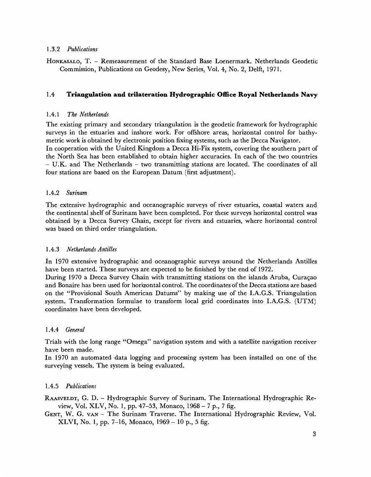## 1.3.2 Publications

HONKASALO, T. - Remeasurement of the Standard Base Loenermark. Netherlands Geodetic Commission, Publications on Geodesy, New Series, Vol. 4, No. 2, Delft, 1971.

## 1.4 **Triangulation and trilateration Hydrographic Office Royal Netherlands Navy**

## 1.4.1 *The Netherlands*

The existing primary and secondary triangulation is the geodetic framework for hydrographic surveys in the estuaries and inshore work. For offshore areas, horizontal control for bathymetric work is obtained by electronic position fixing systems, such as the Decca Navigator. In cooperation with the United Kingdom a Decca Hi-Fix system, covering the southern part of the North Sea has been established to obtain higher accuracies. In each of the two countries - U.K. and The Netherlands - two transmitting stations are located. The coordinates of all four stations are based on the European Datum (first adjustment).

## 1.4.2 *Surinam*

The extensive hydrographic and oceanographic surveys of river estuaries, coastal waters and the continental shelf of Surinam have been completed. For these surveys horizontal control was obtained by a Decca Survey Chain, except for rivers and estuaries, where horizontal control was based on third order triangulation.

## 1.4.3 *Netherlands Antilles*

In 1970 extensive hydrographic and oceanographic surveys around the Netherlands Antilles have been started. These surveys are expected to be finished by the end of 1972.

During 1970 a Decca Survey Chain with transmitting stations on the islands Aruba, Curaqao and Bonaire has been used for horizontal control. The coordinates of the Decca stations are based on the "Provisional South American Datums" by making use of the I.A.G.S. Triangulation system. Transformation formulae to transform local grid coordinates into I.A.G.S. (UTM) coordinates have been developed.

## 1.4.4 *General*

Trials with the long range "Omega" navigation system and with a satellite navigation receiver have been made.

In 1970 an automated data logging and processing system has been installed on one of the surveying vessels. The system is being evaluated.

## 1.4.5 *Publications*

RAASVELDT, G. D. - Hydrographic Survey of Surinam. The International Hydrographic Review, Vol. XLV, No, 1, pp. 47-53, Monaco, 1968 - 7 p., 7 fig.

GENT, W. G. VAN - The Surinam Traverse. The International Hydrographic Review, Vol. XLVI, No. 1, pp. 7-16, Monaco, 1969 - 10 p., 5 fig.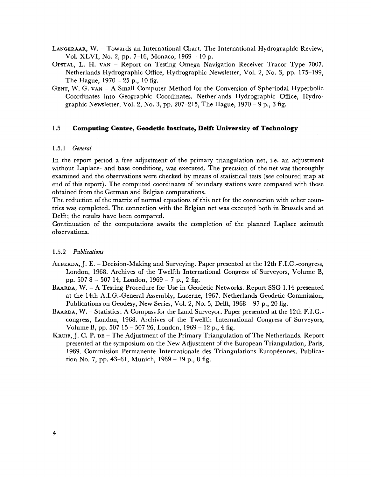- LANGERAAR, W. Towards an International Chart. The International Hydrographic Review, Vol. XLVI, No. 2, pp. 7-16, Monaco, 1969 - 10 p.
- OPSTAL, L. H. VAN Report on Testing Omega Navigation Receiver Tracor Type 7007. Netherlands Hydrographic Office, Hydrographic Newsletter, Vol. 2, No. 3, pp. 175-199, The Hague, 1970 - 25 p., 10 fig.
- GENT, W. G. VAN A Small Computer Method for the Conversion of Spheriodal Hyperbolic Coordinates into Geographic Coordinates. Netherlands Hydrographic Office, Hydrographic Newsletter, Vol. 2, No. 3, pp. 207-215, The Hague, 1970 - 9 p., 3 fig.

#### 1.5 **Computing Centre, Geodetic Institute, Delft University of Technology**

#### 1.5.1 *General*

In the report period a free adjustment of the primary triangulation net, i.e. an adjustment without Laplace- and base conditions, was executed. The precision of the net was thoroughly examined and the observations were checked by means of statistical tests (see coloured map at end of this report). The computed coordinates of boundary stations were compared with those obtained from the German and Belgian computations.

The reduction of the matrix of normal equations of this net for the connection with other countries was completed. The connection with the Belgian net was executed both in Brussels and at Delft; the results have been compared.

Continuation of the computations awaits the completion of the planned Laplace azimuth observations.

#### 1.5.2 *Publications*

- ALBERDA, J.E. Decision-Making and Surveying. Paper presented at the 12th F.1.G.-congress, London, 1968. Archives of the Twelfth International Congress of Surveyors, Volume B, pp.  $5078 - 50714$ , London,  $1969 - 7$  p., 2 fig.
- BAARDA, W. A Testing Procedure for Use in Geodetic Networks. Report SSG 1.14 presented at the 14th A.1.G.-General Assembly, Lucerne, 1967. Netherlands Geodetic Commission, Publications on Geodesy, New Series, Vol. 2, No. 5, Delft, 1968 - 97 p., 20 fig.
- BAARDA, W. Statistics: A Compass for the Land Surveyor. Paper presented at the 12th F.1.G. congress, London, 1968. Archives of the Twelfth International Congress of Surveyors, Volume B, pp. 507 15 - 507 26, London, 1969 - 12 p., 4 fig.
- KRWF, J. C. P. DE The Adjustment of the Primary Triangulation of The Netherlands. Report presented at the symposium on the New Adjustment of the European Triangulation, Paris, 1969. Commission Permanente Internationale des Triangulations Européennes. Publication No. 7, pp. 43-61, Munich, 1969 - 19 p,, 8 fig.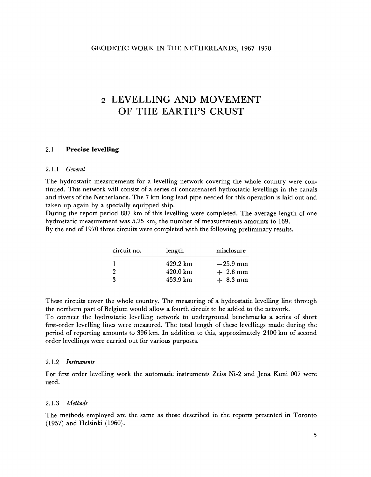# 2 LEVELLING AND MOVEMENT OF THE EARTH'S CRUST

#### 2.1 **Precise levelling**

#### 2.1.1 *General*

The hydrostatic measurements for a levelling network covering the whole country were continued. This network will consist of a series of concatenated hydrostatic levellings in the canals and rivers of the Netherlands. The 7 km long lead pipe needed for this operation is laid out and taken up again by a specially equipped ship.

During the report period 887 km of this levelling were completed. The average length of one hydrostatic measurement was 5.25 km, the number of measurements amounts to 169.

By the end of 1970 three circuits were completed with the following preliminary results.

| circuit no. | length             | misclosure |
|-------------|--------------------|------------|
|             | 429.2 km           | $-25.9$ mm |
| - 2         | $420.0 \text{ km}$ | $+2.8$ mm  |
| -3          | 453.9 km           | $+8.3$ mm  |

These circuits cover the whole country. The measuring of a hydrostatic levelling line through the northern part of Belgium would allow a fourth circuit to be added to the network.

To connect the hydrostatic levelling network to underground benchmarks a series of short first-order levelling lines were measured. The total length of these levellings made during the period of reporting amounts to 396 km. In addition to this, approximately 2400 km of second order levellings were carried out for various purposes.

#### 2.1.2 *Instruments*

For first order levelling work the automatic instruments Zeiss Ni-2 and Jena Koni 007 were used.

#### 2.1.3 *Methods*

The methods employed are the same as those described in the reports presented in Toronto (1957) and Helsinki (1960).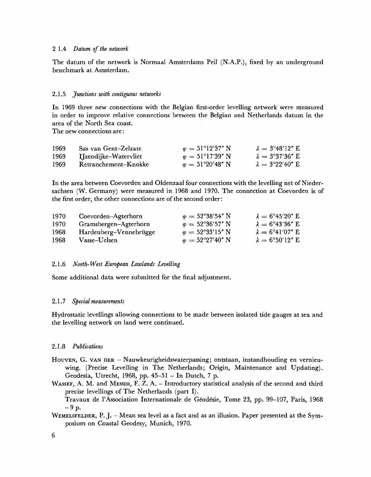#### 2 1.4 *Datum of the network*

The datum of the network is Normaal Amsterdams Peil (N.A.P.), fixed by an underground benchmark at Amsterdam.

#### 2.1.5 *Junctions with contiguous networks*

In 1969 three new connections with the Belgian first-order levelling network were measured in order to improve relative connections between the Belgian and Netherlands datum in the area of the North Sea coast.

The new connections are :

| 1969  | Sas van Gent-Zelzate  | $\varphi = 51^{\circ}12'37''$ N | $\lambda = 3^{\circ}48'12''$ E  |
|-------|-----------------------|---------------------------------|---------------------------------|
| 1969  | IJzendijke–Watervliet | $\varphi = 51^{\circ}17'39''$ N | $\lambda = 3^{\circ}37'36''$ E  |
| -1969 | Retranchement–Knokke  | $\varphi = 51^{\circ}20'48''$ N | $\lambda = 3^{\circ}22' 40''$ E |

In the area between Coevorden and Oldenzaal four connections with the levelling net of Niedersachsen (W. Germany) were measured in 1968 and 1970. The connection at Coevorden is of the first order, the other connections are of the second order:

| 1970 | Coevorden-Agterhorn    | $\varphi = 52^{\circ}38'54''$ N | $\lambda = 6^{\circ}45'20''$ E |
|------|------------------------|---------------------------------|--------------------------------|
| 1970 | Gramsbergen-Agterhorn  | $\varphi = 52^{\circ}36'57''$ N | $\lambda = 6^{\circ}43'36''$ E |
| 1968 | Hardenberg-Vennebrügge | $\varphi = 52^{\circ}33'15''$ N | $\lambda = 6^{\circ}41'07''$ E |
| 1968 | Vasse–Uelsen           | $\varphi = 52^{\circ}27'40''$ N | $\lambda = 6^{\circ}50'12''$ E |

#### 2.1.6 *North- West European Lowlands Levelling*

Some additional data were submitted for the final adjustment.

#### 2.1.7 *Special measurements*

Hydrostatic levellings allowing connections to be made between isolated tide gauges at sea and the levelling network on land were continued.

## 2.1.8 *Publications*

- HOUVEN, G. VAN DER **Nauwkeurigheidswaterpassing;** ontstaan, instandhouding en vernieuwing. (Precise Levelling in The Netherlands; Origin, Maintenance and Updating). Geodesia, Utrecht, 1968, pp. 45-51 - In Dutch, 7 p.
- WASSEF, A. M. and MESSIH, F. Z. A. Introductory statistical analysis of the second and third precise levellings of The Netherlands (part I).

Travaux de l'Association Internationale de Géodésie, Tome 23, pp. 99-107, Paris, 1968  $-9$  p.

WEMELSFELDER, P. J. - Mean sea level as a fact and as an illusion. Paper presented at the Symposium on Coastal Geodesy, Munich, 1970.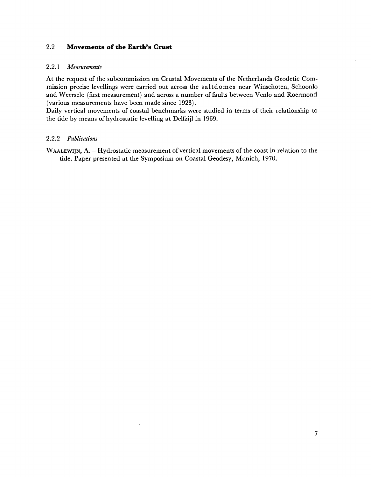## 2.2 **Movements of the Earth's Crust**

## 2.2.1 *Measurements*

**At** the request of the subcommission on Crustal Movements of the Netherlands Geodetic Commission precise levellings were carried out across the saltdomes near Winschoten, Schoonlo and Weerselo (first measurement) and across a number of faults between Venlo and Roermond (various measurements have been made since 1923).

Daily vertical movements of coastal benchmarks were studied in terms of their relationship to the tide by means of hydrostatic levelling at Delfzijl in 1969.

## 2.2.2 *Publications*

WAALEWIJN, **A.** - Hydrostatic measurement of vertical movements of the coast in relation to the tide. Paper presented at the Symposium on Coastal Geodesy, Munich, 1970.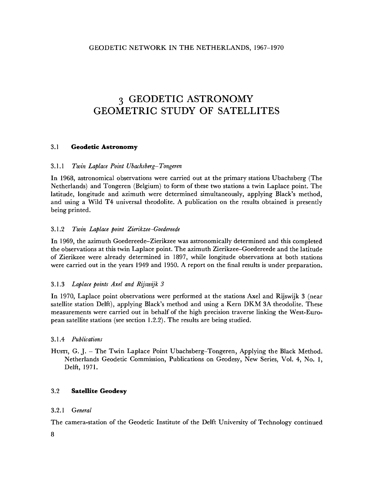# **3** GEODETIC ASTRONOMY GEOMETRIC STUDY OF SATELLITES

## 3.1 **Geodetic Astronomy**

## 3.1.1 Twin Laplace Point Ubachsberg- Tongeren

In 1968, astronomical observations were carried out at the primary stations Ubachsberg (The Netherlands) and Tongeren (Belgium) to form of these two stations a twin Laplace point. The latitude, longitude and azimuth were determined simultaneously, applying Black's method, and using a Wild T4 universal theodolite. A publication on the results obtained is presently being printed.

## 3.1.2 Twin Laplace point Zierikzee-Goedereede

In 1969, the azimuth Goedereede-Zierikzee was astronomically determined and this completed the observations at this twin Laplace point. The azimuth Zierikzee-Goedereede and the latitude of Zierikzee were already determined in 1897, while longitude observations at both stations were carried out in the years 1949 and 1950. A report on the final results is under preparation.

## 3.1.3 Laplace points Axel and Rijswijk *3*

In 1970, Laplace point observations were performed at the stations Axel and Rijswijk 3 (near satellite station Delft), applying Black's method and using a Kern DKM 3A theodolite. These measurements were carried out in behalf of the high precision traverse linking the West-European satellite stations (see section 1.2.2). The results are being studied.

#### 3.1.4 Publications

Husti, G. J. - The Twin Laplace Point Ubachsberg-Tongeren, Applying the Black Method. Netherlands Geodetic Commission, Publications on Geodesy, New Series, Vol. 4, No. 1, Delft, 1971.

## 3.2 **Satellite Geodesy**

#### 3.2.1 General

The camera-station of the Geodetic Institute of the Delft University of Technology continued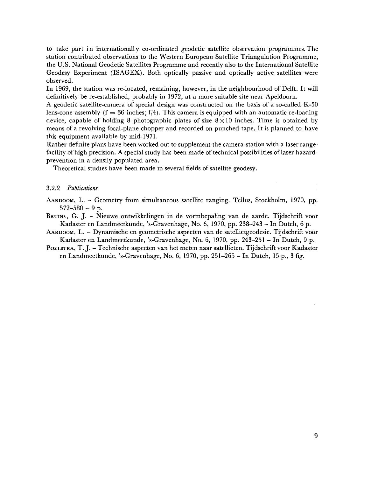to take part in internationally co-ordinated geodetic satellite observation programmes. The station contributed observations to the Western European Satellite Triangulation Programme, the U.S. National Geodetic Satellites Programme and recently also to the International Satellite Geodesy Experiment (ISAGEX). Both optically passive and optically active satellites were observed.

In 1969, the station was re-located, remaining, however, in the neighbourhood of Delft. It will definitively be re-established, probably in 1972, at a more suitable site near Apeldoorn.

A geodetic satellite-camera of special design was constructed on the basis of a so-called K-50 lens-cone assembly  $(f = 36$  inches;  $f/4$ ). This camera is equipped with an automatic re-loading device, capable of holding 8 photographic plates of size  $8 \times 10$  inches. Time is obtained by means of a revolving focal-plane chopper and recorded on punched tape. It is planned to have this equipment available by mid-1971.

Rather definite plans have been worked out to supplement the camera-station with a laser rangefacility of high precision. A special study has been made of technical possibilities of laser hazardprevention in a densily populated area.

Theoretical studies have been made in several fields of satellite geodesy.

#### 3.2.2 Publications

AARDOOM, L. - Geometry from simultaneous satellite ranging. Tellus, Stockholm, 1970, pp.  $572 - 580 - 9$  p.

BRUINS, G. J. - Nieuwe ontwikkelingen in de vormbepaling van de aarde. Tijdschrift voor Kadaster en Landmeetkunde, 's-Gravenhage, No. 6, 1970, pp. 238–243 – In Dutch, 6 p.

AARDOOM, L.- Dynamische en geometrische aspecten van de satellietgeodesie. Tijdschrift voor Kadaster en Landmeetkunde, 'S-Gravenhage, No. 6, 1970, pp. 243-251 - In Dutch, 9 p.

POELSTRA, T. J. - Technische aspecten van het meten naar satellieten. Tijdschrift voor Kadaster en Landmeetkunde, 'S-Gravenhage, No. 6, 1970, pp. 251-265 - In Dutch, 15 p., 3 fig.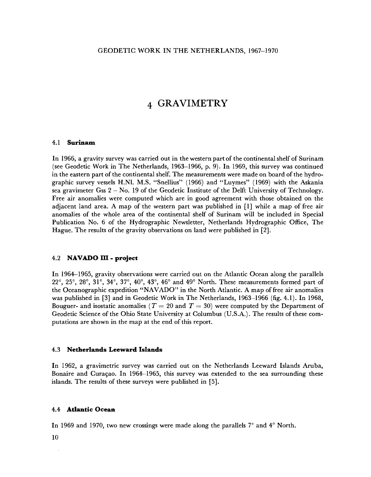## 4 **GRAVIMETRY**

#### 4.1 **Surinam**

In 1966, a gravity survey was carried out in the western part of the continental shelf of Surinam (see Geodetic Work in The Netherlands, 1963-1966, p. 9). In 1969, this survey was continued in the eastern part of the continental shelf. The measurements were made on board of the hydrographic survey vessels H.Nl. M.S. "Snellius" (1966) and "Luymes" (1969) with the Askania sea gravimeter Gss  $2 - No$ . 19 of the Geodetic Institute of the Delft University of Technology. Free air anomalies were computed which are in good agreement with those obtained on the adjacent land area. A map of the western part was published in [l] while a map of free air anomalies of the whole area of the continental shelf of Surinam will be included in Special Publication No. 6 of the Hydrographic Newsletter, Netherlands Hydrographic Office, The Hague. The results of the gravity observations on land were published in [2].

#### 4.2 **NAVADO III** - **project**

In 1964-1965, gravity observations were carried out on the Atlantic Ocean along the parallels  $22^\circ$ ,  $25^\circ$ ,  $28^\circ$ ,  $31^\circ$ ,  $34^\circ$ ,  $37^\circ$ ,  $40^\circ$ ,  $43^\circ$ ,  $46^\circ$  and  $49^\circ$  North. These measurements formed part of the Oceanographic expedition "NAVADO" in the North Atlantic. A map of free air anomalies was published in [3] and in Geodetic Work in The Netherlands, 1963-1966 (fig. 4.1). In 1968, Bouguer- and isostatic anomalies ( $T = 20$  and  $T = 30$ ) were computed by the Department of Geodetic Science of the Ohio State University at Columbus (U.S.A.). The results of these computations are shown in the map at the end of this report.

#### 4.3 **Netherlands Leeward Islands**

In 1962, a gravimetric survey was carried out on the Netherlands Leeward Islands Aruba, Bonaire and Curaqao. In 1964-1965, this survey was extended to the sea surrounding these islands. The results of these surveys were published in [5].

## 4.4 **Atlantic Ocean**

In 1969 and 1970, two new crossings were made along the parallels 7" and 4" North.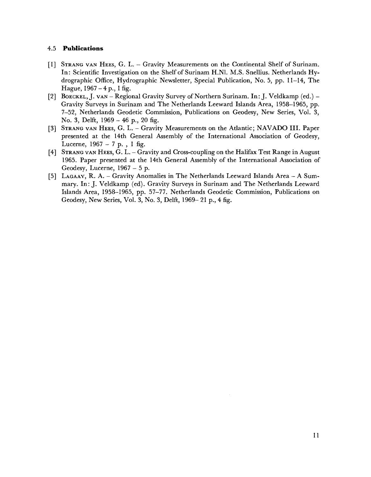## 4.5 **Publications**

- [1] STRANG VAN HEES, G. L. Gravity Measurements on the Continental Shelf of Surinam. In: Scientific Investigation on the Shelf of Surinam H.Nl. M.S. Snellius. Netherlands Hydrographic Office, Hydrographic Newsletter, Special Publication, No. 5, pp. 11-14, The Hague,  $1967 - 4$  p., 1 fig.
- [2] BOECKEL, J. VAN Regional Gravity Survey of Northern Surinam. In: J. Veldkamp (ed.) Gravity Surveys in Surinam and The Netherlands Leeward Islands Area, 1958-1965, pp. 7-52, Netherlands Geodetic Commission, Publications on Geodesy, New Series, Vol. 3, No. 3, Delft, 1969 - 46 p., 20 fig.
- [3] STRANG VAN HEES, G. L. Gravity Measurements on the Atlantic; NAVADO 111. Paper presented at the 14th General Assembly of the International Association of Geodesy, Lucerne,  $1967 - 7$  p., 1 fig.
- [4] STRANG VAN HEES, G. L. Gravity and Cross-coupling on the Halifax Test Range in August 1965. Paper presented at the 14th General Assembly of the International Association of Geodesy, Lucerne,  $1967 - 5$  p.
- [5] LAGAAY, R. A. Gravity Anomalies in The Netherlands Leeward Islands Area A Summary. In: J. Veldkamp (ed). Gravity Surveys in Surinam and The Netherlands Leeward Islands Area, 1958-1965, pp. 57-77. Netherlands Geodetic Commission, Publications on Geodesy, New Series, Vol. 3, No. 3, Delft, 1969- 21 p., 4 fig.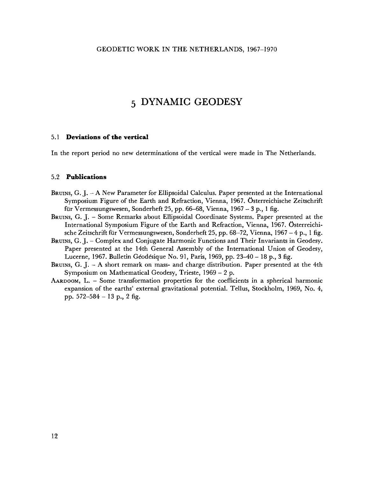# 5 DYNAMIC GEODESY

#### 5.1 **Deviations of the vertical**

In the report period no new determinations of the vertical were made in The Netherlands.

#### 5.2 **Publications**

- BRUINS, G. J. A New Parameter for Ellipsoidal Calculus. Paper presented at the International Symposium Figure of the Earth and Refraction, Vienna, 1967. Osterreichische Zeitschrift für Vermessungswesen, Sonderheft 25, pp. 66–68, Vienna, 1967 – 3 p., 1 fig.
- BRUINS, G. J. Some Remarks about Ellipsoidal Coordinate Systems. Paper presented at the International Symposium Figure of the Earth and Refraction, Vienna, 1967. Osterreichische Zeitschrift für Vermessungswesen, Sonderheft 25, pp. 68–72, Vienna, 1967 – 4 p., 1 fig.
- BRUINS, G. J. Complex and Conjugate Harmonic Functions and Their Invariants in Geodesy. Paper presented at the 14th General Assembly of the International Union of Geodesy, Lucerne, 1967. Bulletin Géodésique No. 91, Paris, 1969, pp. 23-40 - 18 p., 3 fig.
- BRUINS, G. J. A short remark on mass- and charge distribution. Paper presented at the 4th Symposium on Mathematical Geodesy, Trieste, 1969 - 2 p.
- AARDOOM, L. Some transformation properties for the coefficients in a spherical harmonic expansion of the earths' external gravitational potential. Tellus, Stockholm, 1969, No. 4, pp.  $572 - 584 - 13$  p., 2 fig.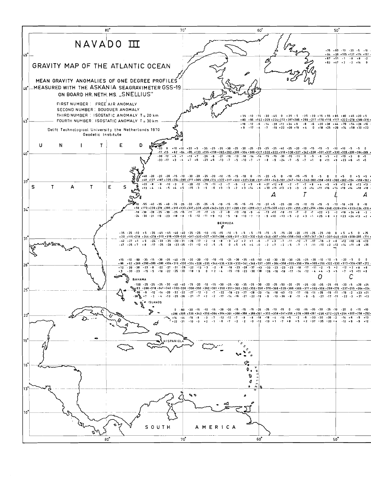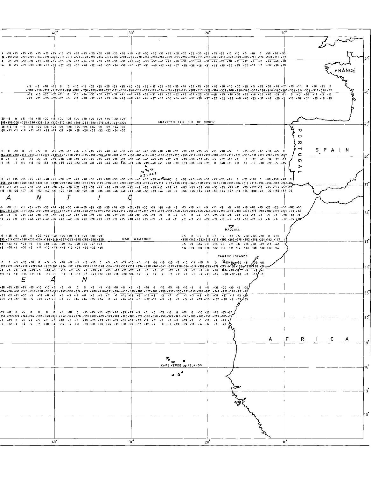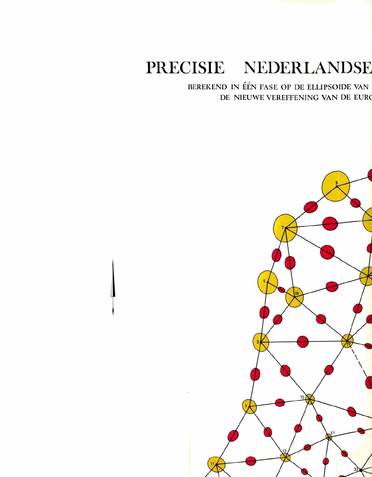# PRECISIE NEDERLANDSE

**BEREKEND IN ÉÉN FASE OP DE ELLIPSOIDE VAN** DE NIEUWE VEREFFENING VAN DE EURO

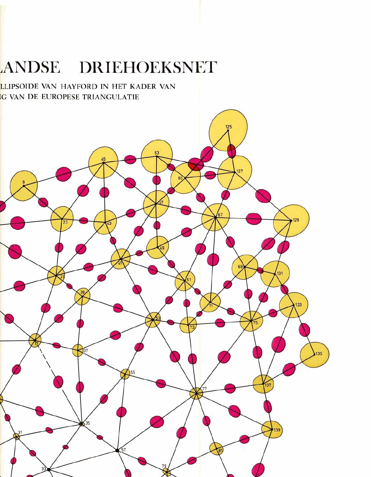# ANDSE DRIEHOEKSNET

LLIPSOIDE VAN HAYFORD IN HET KADER VAN **G VAN DE EUROPESE TRIANGULATIE** 

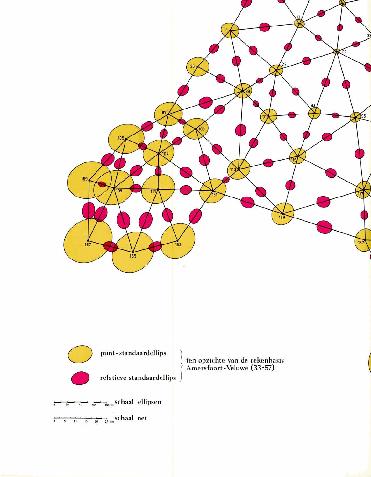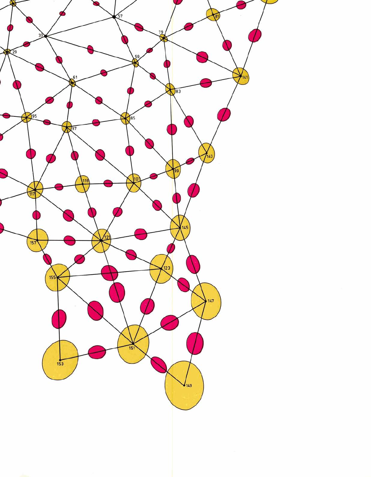